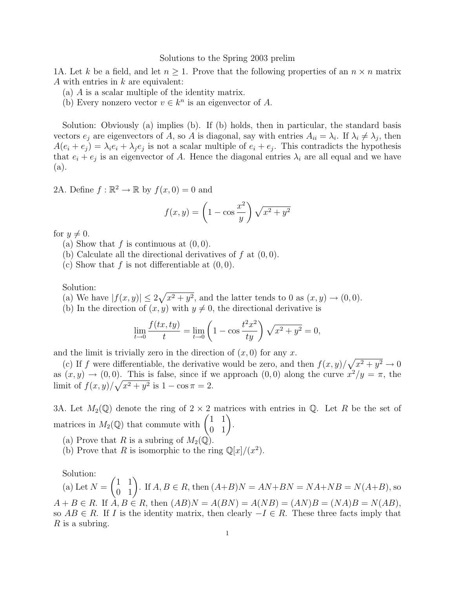## Solutions to the Spring 2003 prelim

1A. Let k be a field, and let  $n > 1$ . Prove that the following properties of an  $n \times n$  matrix A with entries in k are equivalent:

- (a) A is a scalar multiple of the identity matrix.
- (b) Every nonzero vector  $v \in k^n$  is an eigenvector of A.

Solution: Obviously (a) implies (b). If (b) holds, then in particular, the standard basis vectors  $e_j$  are eigenvectors of A, so A is diagonal, say with entries  $A_{ii} = \lambda_i$ . If  $\lambda_i \neq \lambda_j$ , then  $A(e_i + e_j) = \lambda_i e_i + \lambda_j e_j$  is not a scalar multiple of  $e_i + e_j$ . This contradicts the hypothesis that  $e_i + e_j$  is an eigenvector of A. Hence the diagonal entries  $\lambda_i$  are all equal and we have (a).

2A. Define  $f : \mathbb{R}^2 \to \mathbb{R}$  by  $f(x, 0) = 0$  and

$$
f(x,y) = \left(1 - \cos\frac{x^2}{y}\right)\sqrt{x^2 + y^2}
$$

for  $y \neq 0$ .

- (a) Show that  $f$  is continuous at  $(0, 0)$ .
- (b) Calculate all the directional derivatives of  $f$  at  $(0, 0)$ .
- (c) Show that  $f$  is not differentiable at  $(0, 0)$ .

Solution:

- (a) We have  $|f(x,y)| \leq 2\sqrt{x^2 + y^2}$ , and the latter tends to 0 as  $(x, y) \rightarrow (0, 0)$ .
- (b) In the direction of  $(x, y)$  with  $y \neq 0$ , the directional derivative is

$$
\lim_{t \to 0} \frac{f(tx, ty)}{t} = \lim_{t \to 0} \left( 1 - \cos \frac{t^2 x^2}{t y} \right) \sqrt{x^2 + y^2} = 0,
$$

and the limit is trivially zero in the direction of  $(x, 0)$  for any x.

(c) If f were differentiable, the derivative would be zero, and then  $f(x, y)/\sqrt{x^2 + y^2} \to 0$ as  $(x, y) \rightarrow (0, 0)$ . This is false, since if we approach  $(0, 0)$  along the curve  $x^2/y = \pi$ , the limit of  $f(x, y) / \sqrt{x^2 + y^2}$  is  $1 - \cos \pi = 2$ .

3A. Let  $M_2(\mathbb{Q})$  denote the ring of  $2 \times 2$  matrices with entries in  $\mathbb{Q}$ . Let R be the set of matrices in  $M_2(\mathbb{Q})$  that commute with  $\begin{pmatrix} 1 & 1 \\ 0 & 1 \end{pmatrix}$ .

- (a) Prove that R is a subring of  $M_2(\mathbb{Q})$ .
- (b) Prove that R is isomorphic to the ring  $\mathbb{Q}[x]/(x^2)$ .

Solution:

(a) Let  $N =$  $\begin{pmatrix} 1 & 1 \\ 0 & 1 \end{pmatrix}$ . If  $A, B \in R$ , then  $(A+B)N = AN+BN = NA+NB = N(A+B)$ , so  $A + B \in R$ . If  $A, B \in R$ , then  $(AB)N = A(BN) = A(NB) = (AN)B = (NA)B = N(AB)$ , so  $AB \in R$ . If I is the identity matrix, then clearly  $-I \in R$ . These three facts imply that  $R$  is a subring.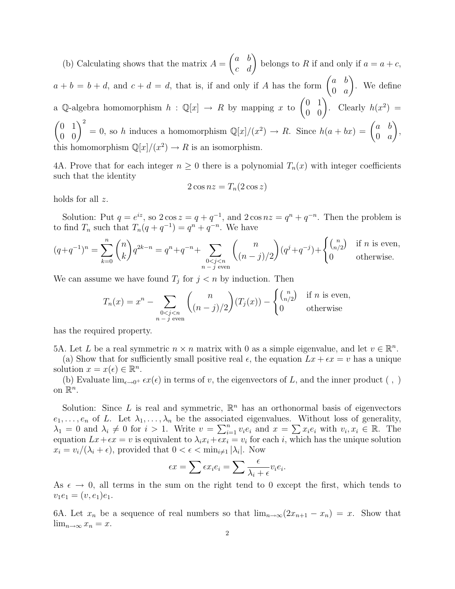(b) Calculating shows that the matrix  $A =$  $\begin{pmatrix} a & b \\ c & d \end{pmatrix}$  belongs to R if and only if  $a = a + c$ ,  $a + b = b + d$ , and  $c + d = d$ , that is, if and only if A has the form  $\begin{pmatrix} a & b \\ 0 & a \end{pmatrix}$  $0 \quad a$  $\setminus$ . We define a Q-algebra homomorphism  $h : \mathbb{Q}[x] \to R$  by mapping x to  $\begin{pmatrix} 0 & 1 \\ 0 & 0 \end{pmatrix}$ . Clearly  $h(x^2) =$  $\begin{pmatrix} 0 & 1 \\ 0 & 0 \end{pmatrix}^2 = 0$ , so h induces a homomorphism  $\mathbb{Q}[x]/(x^2) \to R$ . Since  $h(a + bx) = \begin{pmatrix} a & b \\ 0 & a \end{pmatrix}$  $0 \quad a$  $\setminus$ , this homomorphism  $\mathbb{Q}[x]/(x^2) \to R$  is an isomorphism.

4A. Prove that for each integer  $n \geq 0$  there is a polynomial  $T_n(x)$  with integer coefficients such that the identity

$$
2\cos nz = T_n(2\cos z)
$$

holds for all z.

Solution: Put  $q = e^{iz}$ , so  $2 \cos z = q + q^{-1}$ , and  $2 \cos nz = q^n + q^{-n}$ . Then the problem is to find  $T_n$  such that  $T_n(q+q^{-1})=q^n+q^{-n}$ . We have

$$
(q+q^{-1})^n = \sum_{k=0}^n \binom{n}{k} q^{2k-n} = q^n + q^{-n} + \sum_{\substack{0 < j < n \\ n-j \text{ even}}} \binom{n}{(n-j)/2} (q^j + q^{-j}) + \begin{cases} \binom{n}{n/2} & \text{if } n \text{ is even,} \\ 0 & \text{otherwise.} \end{cases}
$$

We can assume we have found  $T_j$  for  $j < n$  by induction. Then

$$
T_n(x) = x^n - \sum_{\substack{0 < j < n \\ n - j \text{ even}}} \binom{n}{(n - j)/2} (T_j(x)) - \begin{cases} \binom{n}{n/2} & \text{if } n \text{ is even,} \\ 0 & \text{otherwise} \end{cases}
$$

has the required property.

5A. Let L be a real symmetric  $n \times n$  matrix with 0 as a simple eigenvalue, and let  $v \in \mathbb{R}^n$ .

(a) Show that for sufficiently small positive real  $\epsilon$ , the equation  $Lx + \epsilon x = v$  has a unique solution  $x = x(\epsilon) \in \mathbb{R}^n$ .

(b) Evaluate  $\lim_{\epsilon \to 0^+} \epsilon x(\epsilon)$  in terms of v, the eigenvectors of L, and the inner product (,) on  $\mathbb{R}^n$ .

Solution: Since L is real and symmetric,  $\mathbb{R}^n$  has an orthonormal basis of eigenvectors  $e_1, \ldots, e_n$  of L. Let  $\lambda_1, \ldots, \lambda_n$  be the associated eigenvalues. Without loss of generality,  $\lambda_1 = 0$  and  $\lambda_i \neq 0$  for  $i > 1$ . Write  $v = \sum_{i=1}^n v_i e_i$  and  $x = \sum x_i e_i$  with  $v_i, x_i \in \mathbb{R}$ . The equation  $Lx + \epsilon x = v$  is equivalent to  $\lambda_i x_i + \epsilon x_i = v_i$  for each i, which has the unique solution  $x_i = v_i/(\lambda_i + \epsilon)$ , provided that  $0 < \epsilon < \min_{i \neq 1} |\lambda_i|$ . Now

$$
\epsilon x = \sum \epsilon x_i e_i = \sum \frac{\epsilon}{\lambda_i + \epsilon} v_i e_i.
$$

As  $\epsilon \to 0$ , all terms in the sum on the right tend to 0 except the first, which tends to  $v_1e_1 = (v, e_1)e_1.$ 

6A. Let  $x_n$  be a sequence of real numbers so that  $\lim_{n\to\infty}(2x_{n+1}-x_n)=x$ . Show that  $\lim_{n\to\infty}x_n=x.$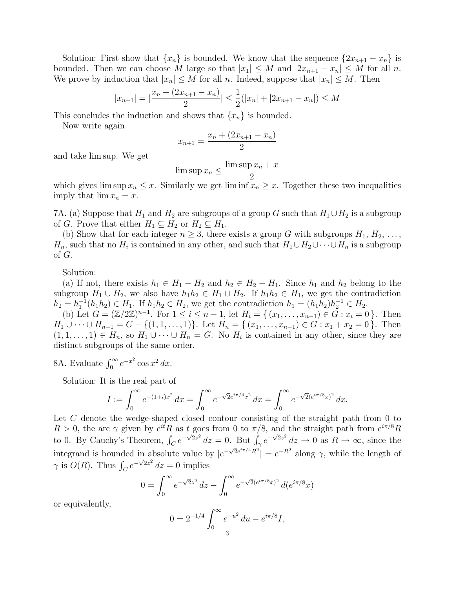Solution: First show that  $\{x_n\}$  is bounded. We know that the sequence  $\{2x_{n+1} - x_n\}$  is bounded. Then we can choose M large so that  $|x_1| \leq M$  and  $|2x_{n+1} - x_n| \leq M$  for all n. We prove by induction that  $|x_n| \leq M$  for all n. Indeed, suppose that  $|x_n| \leq M$ . Then

$$
|x_{n+1}| = |\frac{x_n + (2x_{n+1} - x_n)}{2}| \le \frac{1}{2}(|x_n| + |2x_{n+1} - x_n|) \le M
$$

This concludes the induction and shows that  $\{x_n\}$  is bounded.

Now write again

$$
x_{n+1} = \frac{x_n + (2x_{n+1} - x_n)}{2}
$$

and take lim sup. We get

$$
\limsup x_n \le \frac{\limsup x_n + x}{2}
$$

which gives  $\limsup x_n \leq x$ . Similarly we get  $\liminf x_n \geq x$ . Together these two inequalities imply that  $\lim x_n = x$ .

7A. (a) Suppose that  $H_1$  and  $H_2$  are subgroups of a group G such that  $H_1 \cup H_2$  is a subgroup of G. Prove that either  $H_1 \subseteq H_2$  or  $H_2 \subseteq H_1$ .

(b) Show that for each integer  $n \geq 3$ , there exists a group G with subgroups  $H_1, H_2, \ldots$ ,  $H_n$ , such that no  $H_i$  is contained in any other, and such that  $H_1 \cup H_2 \cup \cdots \cup H_n$  is a subgroup of G.

Solution:

(a) If not, there exists  $h_1 \in H_1 - H_2$  and  $h_2 \in H_2 - H_1$ . Since  $h_1$  and  $h_2$  belong to the subgroup  $H_1 \cup H_2$ , we also have  $h_1 h_2 \in H_1 \cup H_2$ . If  $h_1 h_2 \in H_1$ , we get the contradiction  $h_2 = h_1^{-1}(h_1 h_2) \in H_1$ . If  $h_1 h_2 \in H_2$ , we get the contradiction  $h_1 = (h_1 h_2) h_2^{-1} \in H_2$ .

(b) Let  $G = (\mathbb{Z}/2\mathbb{Z})^{n-1}$ . For  $1 \leq i \leq n-1$ , let  $H_i = \{ (x_1, \ldots, x_{n-1}) \in \tilde{G} : x_i = 0 \}$ . Then  $H_1 \cup \cdots \cup H_{n-1} = G - \{(1, 1, \ldots, 1)\}.$  Let  $H_n = \{(x_1, \ldots, x_{n-1}) \in G : x_1 + x_2 = 0\}.$  Then  $(1, 1, \ldots, 1) \in H_n$ , so  $H_1 \cup \cdots \cup H_n = G$ . No  $H_i$  is contained in any other, since they are distinct subgroups of the same order.

8A. Evaluate  $\int_0^\infty e^{-x^2} \cos x^2 dx$ .

Solution: It is the real part of

$$
I := \int_0^\infty e^{-(1+i)x^2} dx = \int_0^\infty e^{-\sqrt{2}e^{i\pi/4}x^2} dx = \int_0^\infty e^{-\sqrt{2}(e^{i\pi/8}x)^2} dx.
$$

Let C denote the wedge-shaped closed contour consisting of the straight path from 0 to  $R > 0$ , the arc  $\gamma$  given by  $e^{it}R$  as  $t$  goes from 0 to  $\pi/8$ , and the straight path from  $e^{i\pi/8}R$ to 0. By Cauchy's Theorem,  $\int_C e^{-\sqrt{2}z^2} dz = 0$ . But  $\int_{\gamma} e^{-\sqrt{2}z^2} dz \to 0$  as  $R \to \infty$ , since the integrand is bounded in absolute value by  $|e^{-\sqrt{2}e^{i\pi/4}R^2}| = e^{-R^2}$  along  $\gamma$ , while the length of  $\gamma$  is  $O(R)$ . Thus  $\int_C e^{-\sqrt{2}z^2} dz = 0$  implies

$$
0 = \int_0^\infty e^{-\sqrt{2}z^2} dz - \int_0^\infty e^{-\sqrt{2}(e^{i\pi/8}x)^2} d(e^{i\pi/8}x)
$$

or equivalently,

$$
0 = 2^{-1/4} \int_0^\infty e^{-u^2} du - e^{i\pi/8} I,
$$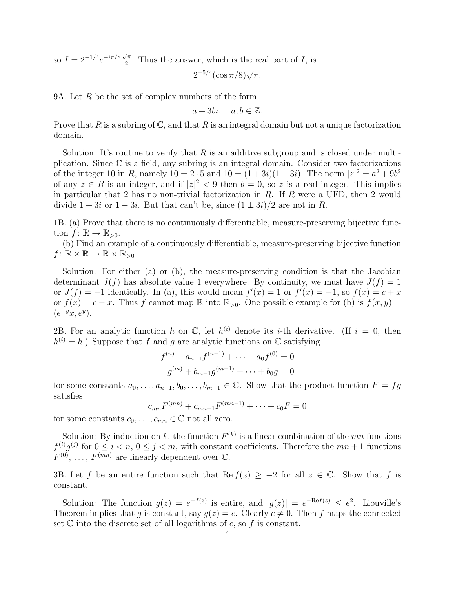so  $I = 2^{-1/4} e^{-i\pi/8} \frac{\sqrt{\pi}}{2}$  $\frac{\pi}{2}$ . Thus the answer, which is the real part of *I*, is

 $2^{-5/4} (\cos \pi/8) \sqrt{\pi}.$ 

9A. Let  $R$  be the set of complex numbers of the form

 $a + 3bi, a, b \in \mathbb{Z}$ .

Prove that R is a subring of  $\mathbb{C}$ , and that R is an integral domain but not a unique factorization domain.

Solution: It's routine to verify that R is an additive subgroup and is closed under multiplication. Since C is a field, any subring is an integral domain. Consider two factorizations of the integer 10 in R, namely  $10 = 2 \cdot 5$  and  $10 = (1+3i)(1-3i)$ . The norm  $|z|^2 = a^2 + 9b^2$ of any  $z \in R$  is an integer, and if  $|z|^2 < 9$  then  $b = 0$ , so z is a real integer. This implies in particular that 2 has no non-trivial factorization in  $R$ . If  $R$  were a UFD, then 2 would divide  $1 + 3i$  or  $1 - 3i$ . But that can't be, since  $(1 \pm 3i)/2$  are not in R.

1B. (a) Prove that there is no continuously differentiable, measure-preserving bijective function  $f: \mathbb{R} \to \mathbb{R}_{>0}$ .

(b) Find an example of a continuously differentiable, measure-preserving bijective function  $f: \mathbb{R} \times \mathbb{R} \to \mathbb{R} \times \mathbb{R}_{>0}$ .

Solution: For either (a) or (b), the measure-preserving condition is that the Jacobian determinant  $J(f)$  has absolute value 1 everywhere. By continuity, we must have  $J(f) = 1$ or  $J(f) = -1$  identically. In (a), this would mean  $f'(x) = 1$  or  $f'(x) = -1$ , so  $f(x) = c + x$ or  $f(x) = c - x$ . Thus f cannot map R into  $\mathbb{R}_{>0}$ . One possible example for (b) is  $f(x, y) = c$  $(e^{-y}x, e^y).$ 

2B. For an analytic function h on  $\mathbb{C}$ , let  $h^{(i)}$  denote its i-th derivative. (If  $i = 0$ , then  $h^{(i)} = h$ .) Suppose that f and g are analytic functions on  $\mathbb C$  satisfying

$$
f^{(n)} + a_{n-1}f^{(n-1)} + \dots + a_0f^{(0)} = 0
$$
  

$$
g^{(m)} + b_{m-1}g^{(m-1)} + \dots + b_0g = 0
$$

for some constants  $a_0, \ldots, a_{n-1}, b_0, \ldots, b_{m-1} \in \mathbb{C}$ . Show that the product function  $F = fg$ satisfies

$$
c_{mn}F^{(mn)} + c_{mn-1}F^{(mn-1)} + \cdots + c_0F = 0
$$

for some constants  $c_0, \ldots, c_{mn} \in \mathbb{C}$  not all zero.

Solution: By induction on k, the function  $F^{(k)}$  is a linear combination of the mn functions  $f^{(i)}g^{(j)}$  for  $0 \le i < n, 0 \le j < m$ , with constant coefficients. Therefore the  $mn+1$  functions  $F^{(0)}, \ldots, F^{(mn)}$  are linearly dependent over  $\mathbb{C}.$ 

3B. Let f be an entire function such that Re  $f(z) \geq -2$  for all  $z \in \mathbb{C}$ . Show that f is constant.

Solution: The function  $g(z) = e^{-f(z)}$  is entire, and  $|g(z)| = e^{-\text{Re}f(z)} \leq e^2$ . Liouville's Theorem implies that q is constant, say  $q(z) = c$ . Clearly  $c \neq 0$ . Then f maps the connected set  $\mathbb C$  into the discrete set of all logarithms of c, so f is constant.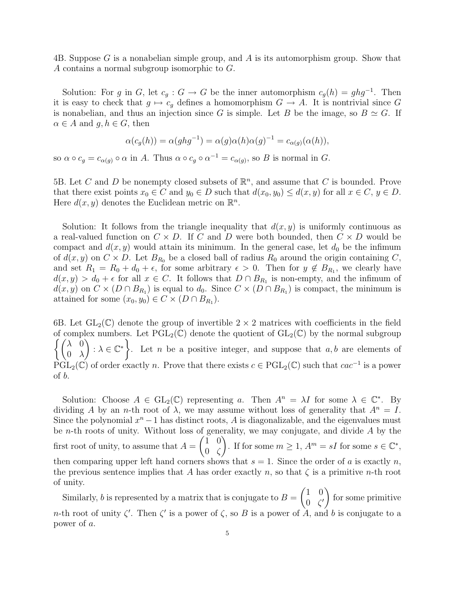4B. Suppose G is a nonabelian simple group, and A is its automorphism group. Show that A contains a normal subgroup isomorphic to G.

Solution: For g in G, let  $c_g : G \to G$  be the inner automorphism  $c_g(h) = ghg^{-1}$ . Then it is easy to check that  $g \mapsto c_g$  defines a homomorphism  $G \to A$ . It is nontrivial since G is nonabelian, and thus an injection since G is simple. Let B be the image, so  $B \simeq G$ . If  $\alpha \in A$  and  $q, h \in G$ , then

$$
\alpha(c_g(h)) = \alpha(ghg^{-1}) = \alpha(g)\alpha(h)\alpha(g)^{-1} = c_{\alpha(g)}(\alpha(h)),
$$

so  $\alpha \circ c_g = c_{\alpha(g)} \circ \alpha$  in A. Thus  $\alpha \circ c_g \circ \alpha^{-1} = c_{\alpha(g)}$ , so B is normal in G.

5B. Let C and D be nonempty closed subsets of  $\mathbb{R}^n$ , and assume that C is bounded. Prove that there exist points  $x_0 \in C$  and  $y_0 \in D$  such that  $d(x_0, y_0) \leq d(x, y)$  for all  $x \in C$ ,  $y \in D$ . Here  $d(x, y)$  denotes the Euclidean metric on  $\mathbb{R}^n$ .

Solution: It follows from the triangle inequality that  $d(x, y)$  is uniformly continuous as a real-valued function on  $C \times D$ . If C and D were both bounded, then  $C \times D$  would be compact and  $d(x, y)$  would attain its minimum. In the general case, let  $d_0$  be the infimum of  $d(x, y)$  on  $C \times D$ . Let  $B_{R_0}$  be a closed ball of radius  $R_0$  around the origin containing C, and set  $R_1 = R_0 + d_0 + \epsilon$ , for some arbitrary  $\epsilon > 0$ . Then for  $y \notin B_{R_1}$ , we clearly have  $d(x, y) > d_0 + \epsilon$  for all  $x \in C$ . It follows that  $D \cap B_{R_1}$  is non-empty, and the infimum of  $d(x, y)$  on  $C \times (D \cap B_{R_1})$  is equal to  $d_0$ . Since  $C \times (D \cap B_{R_1})$  is compact, the minimum is attained for some  $(x_0, y_0) \in C \times (D \cap B_{R_1}).$ 

6B. Let  $GL_2(\mathbb{C})$  denote the group of invertible  $2 \times 2$  matrices with coefficients in the field of complex numbers. Let  $\widehat{PGL}_2(\mathbb{C})$  denote the quotient of  $GL_2(\mathbb{C})$  by the normal subgroup  $\int (\lambda)$  $0 \lambda$  $\bigg\} : \lambda \in \mathbb{C}^*$ . Let n be a positive integer, and suppose that  $a, b$  are elements of  $\widetilde{\mathrm{PGL}}_2(\mathbb{C})$  of order exactly n. Prove that there exists  $c \in \mathrm{PGL}_2(\mathbb{C})$  such that  $cac^{-1}$  is a power of b.

Solution: Choose  $A \in GL_2(\mathbb{C})$  representing a. Then  $A^n = \lambda I$  for some  $\lambda \in \mathbb{C}^*$ . By dividing A by an n-th root of  $\lambda$ , we may assume without loss of generality that  $A^n = I$ . Since the polynomial  $x<sup>n</sup> - 1$  has distinct roots, A is diagonalizable, and the eigenvalues must be *n*-th roots of unity. Without loss of generality, we may conjugate, and divide  $\vec{A}$  by the first root of unity, to assume that  $A =$  $(1 \ 0)$ 0 ζ ). If for some  $m \geq 1$ ,  $A^m = sI$  for some  $s \in \mathbb{C}^*$ , then comparing upper left hand corners shows that  $s = 1$ . Since the order of a is exactly n, the previous sentence implies that A has order exactly n, so that  $\zeta$  is a primitive n-th root of unity.

Similarly, b is represented by a matrix that is conjugate to  $B =$  $(1 \ 0)$  $0 \zeta'$  $\setminus$ for some primitive n-th root of unity  $\zeta'$ . Then  $\zeta'$  is a power of  $\zeta$ , so B is a power of  $A$ , and b is conjugate to a power of a.